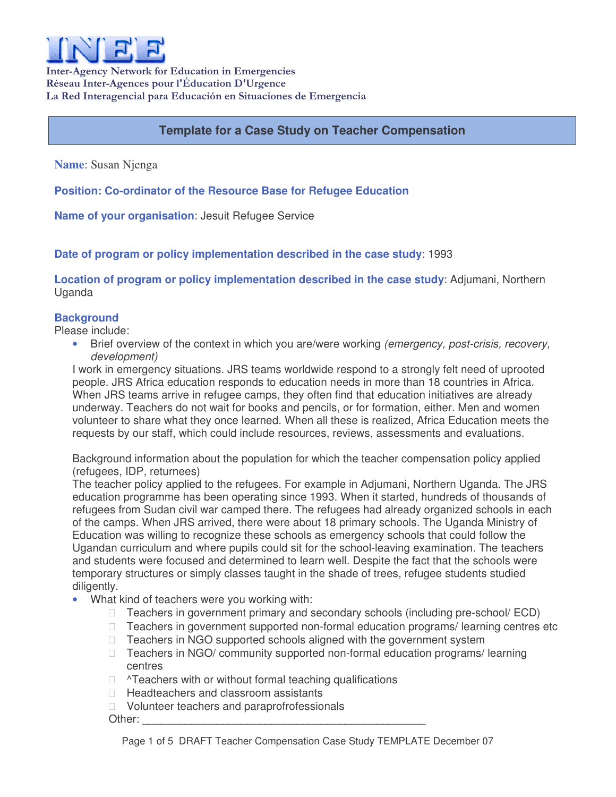

Inter-Agency Network for Education in Emergencies Réseau Inter-Agences pour l'Éducation D'Urgence La Red Interagencial para Educación en Situaciones de Emergencia

## **Template for a Case Study on Teacher Compensation**

**Name**: Susan Njenga

**Position: Co-ordinator of the Resource Base for Refugee Education**

**Name of your organisation**: Jesuit Refugee Service

**Date of program or policy implementation described in the case study**: 1993

**Location of program or policy implementation described in the case study**: Adjumani, Northern Uganda

## **Background**

Please include:

• Brief overview of the context in which you are/were working *(emergency, post-crisis, recovery, development)*

I work in emergency situations. JRS teams worldwide respond to a strongly felt need of uprooted people. JRS Africa education responds to education needs in more than 18 countries in Africa. When JRS teams arrive in refugee camps, they often find that education initiatives are already underway. Teachers do not wait for books and pencils, or for formation, either. Men and women volunteer to share what they once learned. When all these is realized, Africa Education meets the requests by our staff, which could include resources, reviews, assessments and evaluations.

Background information about the population for which the teacher compensation policy applied (refugees, IDP, returnees)

The teacher policy applied to the refugees. For example in Adjumani, Northern Uganda. The JRS education programme has been operating since 1993. When it started, hundreds of thousands of refugees from Sudan civil war camped there. The refugees had already organized schools in each of the camps. When JRS arrived, there were about 18 primary schools. The Uganda Ministry of Education was willing to recognize these schools as emergency schools that could follow the Ugandan curriculum and where pupils could sit for the school-leaving examination. The teachers and students were focused and determined to learn well. Despite the fact that the schools were temporary structures or simply classes taught in the shade of trees, refugee students studied diligently.

• What kind of teachers were you working with:

 Teachers in government primary and secondary schools (including pre-school/ ECD) Teachers in government supported non-formal education programs/ learning centres etc Teachers in NGO supported schools aligned with the government system Teachers in NGO/ community supported non-formal education programs/ learning centres ^Teachers with or without formal teaching qualifications

Headteachers and classroom assistants

Volunteer teachers and paraprofrofessionals

Other: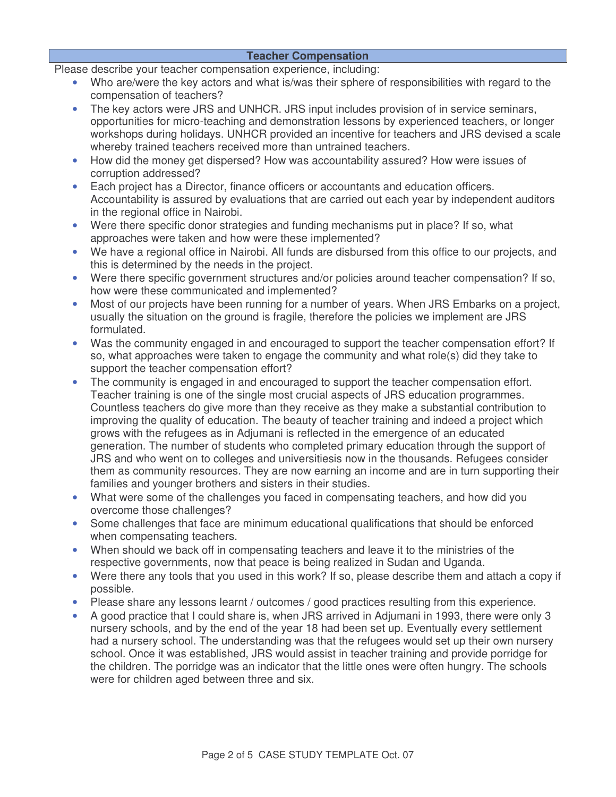## **Teacher Compensation**

Please describe your teacher compensation experience, including:

- Who are/were the key actors and what is/was their sphere of responsibilities with regard to the compensation of teachers?
- The key actors were JRS and UNHCR. JRS input includes provision of in service seminars, opportunities for micro-teaching and demonstration lessons by experienced teachers, or longer workshops during holidays. UNHCR provided an incentive for teachers and JRS devised a scale whereby trained teachers received more than untrained teachers.
- How did the money get dispersed? How was accountability assured? How were issues of corruption addressed?
- Each project has a Director, finance officers or accountants and education officers. Accountability is assured by evaluations that are carried out each year by independent auditors in the regional office in Nairobi.
- Were there specific donor strategies and funding mechanisms put in place? If so, what approaches were taken and how were these implemented?
- We have a regional office in Nairobi. All funds are disbursed from this office to our projects, and this is determined by the needs in the project.
- Were there specific government structures and/or policies around teacher compensation? If so, how were these communicated and implemented?
- Most of our projects have been running for a number of years. When JRS Embarks on a project, usually the situation on the ground is fragile, therefore the policies we implement are JRS formulated.
- Was the community engaged in and encouraged to support the teacher compensation effort? If so, what approaches were taken to engage the community and what role(s) did they take to support the teacher compensation effort?
- The community is engaged in and encouraged to support the teacher compensation effort. Teacher training is one of the single most crucial aspects of JRS education programmes. Countless teachers do give more than they receive as they make a substantial contribution to improving the quality of education. The beauty of teacher training and indeed a project which grows with the refugees as in Adjumani is reflected in the emergence of an educated generation. The number of students who completed primary education through the support of JRS and who went on to colleges and universitiesis now in the thousands. Refugees consider them as community resources. They are now earning an income and are in turn supporting their families and younger brothers and sisters in their studies.
- What were some of the challenges you faced in compensating teachers, and how did you overcome those challenges?
- Some challenges that face are minimum educational qualifications that should be enforced when compensating teachers.
- When should we back off in compensating teachers and leave it to the ministries of the respective governments, now that peace is being realized in Sudan and Uganda.
- Were there any tools that you used in this work? If so, please describe them and attach a copy if possible.
- Please share any lessons learnt / outcomes / good practices resulting from this experience.
- A good practice that I could share is, when JRS arrived in Adjumani in 1993, there were only 3 nursery schools, and by the end of the year 18 had been set up. Eventually every settlement had a nursery school. The understanding was that the refugees would set up their own nursery school. Once it was established, JRS would assist in teacher training and provide porridge for the children. The porridge was an indicator that the little ones were often hungry. The schools were for children aged between three and six.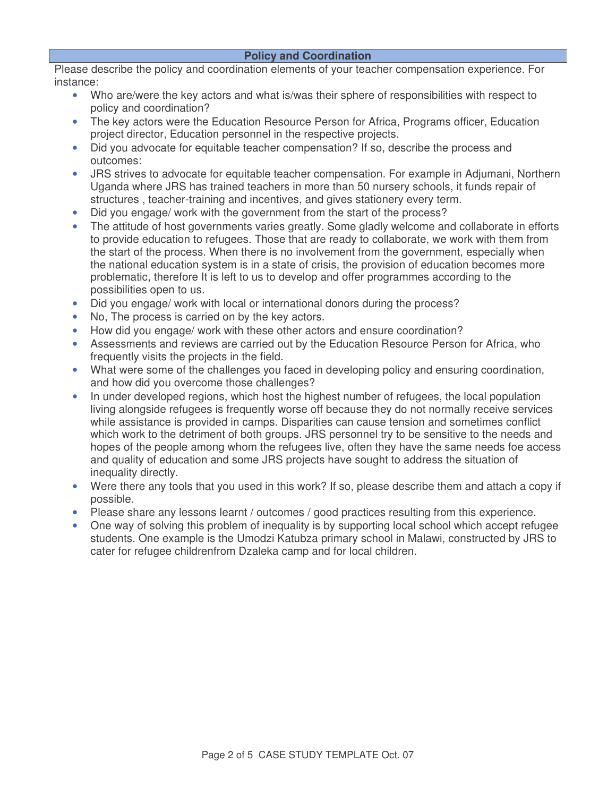Please describe the policy and coordination elements of your teacher compensation experience. For instance:

- Who are/were the key actors and what is/was their sphere of responsibilities with respect to policy and coordination?
- The key actors were the Education Resource Person for Africa, Programs officer, Education project director, Education personnel in the respective projects.
- Did you advocate for equitable teacher compensation? If so, describe the process and outcomes:
- JRS strives to advocate for equitable teacher compensation. For example in Adjumani, Northern Uganda where JRS has trained teachers in more than 50 nursery schools, it funds repair of structures , teacher-training and incentives, and gives stationery every term.
- Did you engage/ work with the government from the start of the process?
- The attitude of host governments varies greatly. Some gladly welcome and collaborate in efforts to provide education to refugees. Those that are ready to collaborate, we work with them from the start of the process. When there is no involvement from the government, especially when the national education system is in a state of crisis, the provision of education becomes more problematic, therefore It is left to us to develop and offer programmes according to the possibilities open to us.
- Did you engage/ work with local or international donors during the process?
- No, The process is carried on by the key actors.
- How did you engage/ work with these other actors and ensure coordination?
- Assessments and reviews are carried out by the Education Resource Person for Africa, who frequently visits the projects in the field.
- What were some of the challenges you faced in developing policy and ensuring coordination, and how did you overcome those challenges?
- In under developed regions, which host the highest number of refugees, the local population living alongside refugees is frequently worse off because they do not normally receive services while assistance is provided in camps. Disparities can cause tension and sometimes conflict which work to the detriment of both groups. JRS personnel try to be sensitive to the needs and hopes of the people among whom the refugees live, often they have the same needs foe access and quality of education and some JRS projects have sought to address the situation of inequality directly.
- Were there any tools that you used in this work? If so, please describe them and attach a copy if possible.
- Please share any lessons learnt / outcomes / good practices resulting from this experience.
- One way of solving this problem of inequality is by supporting local school which accept refugee students. One example is the Umodzi Katubza primary school in Malawi, constructed by JRS to cater for refugee childrenfrom Dzaleka camp and for local children.